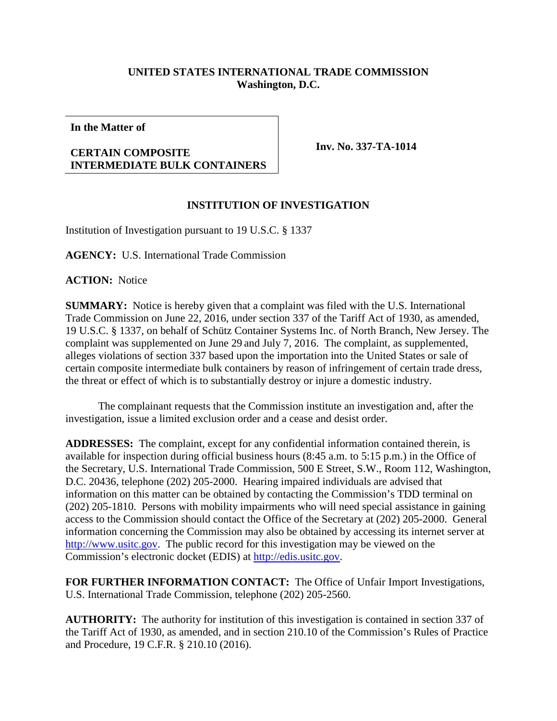## **UNITED STATES INTERNATIONAL TRADE COMMISSION Washington, D.C.**

**In the Matter of**

## **CERTAIN COMPOSITE INTERMEDIATE BULK CONTAINERS**

**Inv. No. 337-TA-1014**

## **INSTITUTION OF INVESTIGATION**

Institution of Investigation pursuant to 19 U.S.C. § 1337

**AGENCY:** U.S. International Trade Commission

**ACTION:** Notice

**SUMMARY:** Notice is hereby given that a complaint was filed with the U.S. International Trade Commission on June 22, 2016, under section 337 of the Tariff Act of 1930, as amended, 19 U.S.C. § 1337, on behalf of Schütz Container Systems Inc. of North Branch, New Jersey. The complaint was supplemented on June 29 and July 7, 2016. The complaint, as supplemented, alleges violations of section 337 based upon the importation into the United States or sale of certain composite intermediate bulk containers by reason of infringement of certain trade dress, the threat or effect of which is to substantially destroy or injure a domestic industry.

The complainant requests that the Commission institute an investigation and, after the investigation, issue a limited exclusion order and a cease and desist order.

**ADDRESSES:** The complaint, except for any confidential information contained therein, is available for inspection during official business hours (8:45 a.m. to 5:15 p.m.) in the Office of the Secretary, U.S. International Trade Commission, 500 E Street, S.W., Room 112, Washington, D.C. 20436, telephone (202) 205-2000. Hearing impaired individuals are advised that information on this matter can be obtained by contacting the Commission's TDD terminal on (202) 205-1810. Persons with mobility impairments who will need special assistance in gaining access to the Commission should contact the Office of the Secretary at (202) 205-2000. General information concerning the Commission may also be obtained by accessing its internet server at [http://www.usitc.gov.](http://www.usitc.gov/) The public record for this investigation may be viewed on the Commission's electronic docket (EDIS) at [http://edis.usitc.gov.](http://edis.usitc.gov/)

**FOR FURTHER INFORMATION CONTACT:** The Office of Unfair Import Investigations, U.S. International Trade Commission, telephone (202) 205-2560.

**AUTHORITY:** The authority for institution of this investigation is contained in section 337 of the Tariff Act of 1930, as amended, and in section 210.10 of the Commission's Rules of Practice and Procedure, 19 C.F.R. § 210.10 (2016).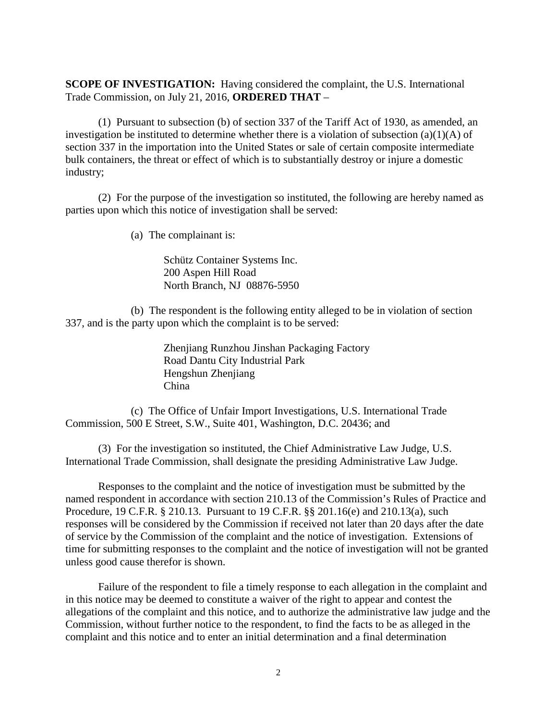**SCOPE OF INVESTIGATION:** Having considered the complaint, the U.S. International Trade Commission, on July 21, 2016, **ORDERED THAT** –

(1) Pursuant to subsection (b) of section 337 of the Tariff Act of 1930, as amended, an investigation be instituted to determine whether there is a violation of subsection (a)(1)(A) of section 337 in the importation into the United States or sale of certain composite intermediate bulk containers, the threat or effect of which is to substantially destroy or injure a domestic industry;

(2) For the purpose of the investigation so instituted, the following are hereby named as parties upon which this notice of investigation shall be served:

(a) The complainant is:

Schütz Container Systems Inc. 200 Aspen Hill Road North Branch, NJ 08876-5950

(b) The respondent is the following entity alleged to be in violation of section 337, and is the party upon which the complaint is to be served:

> Zhenjiang Runzhou Jinshan Packaging Factory Road Dantu City Industrial Park Hengshun Zhenjiang China

(c) The Office of Unfair Import Investigations, U.S. International Trade Commission, 500 E Street, S.W., Suite 401, Washington, D.C. 20436; and

(3) For the investigation so instituted, the Chief Administrative Law Judge, U.S. International Trade Commission, shall designate the presiding Administrative Law Judge.

Responses to the complaint and the notice of investigation must be submitted by the named respondent in accordance with section 210.13 of the Commission's Rules of Practice and Procedure, 19 C.F.R. § 210.13. Pursuant to 19 C.F.R. §§ 201.16(e) and 210.13(a), such responses will be considered by the Commission if received not later than 20 days after the date of service by the Commission of the complaint and the notice of investigation. Extensions of time for submitting responses to the complaint and the notice of investigation will not be granted unless good cause therefor is shown.

Failure of the respondent to file a timely response to each allegation in the complaint and in this notice may be deemed to constitute a waiver of the right to appear and contest the allegations of the complaint and this notice, and to authorize the administrative law judge and the Commission, without further notice to the respondent, to find the facts to be as alleged in the complaint and this notice and to enter an initial determination and a final determination